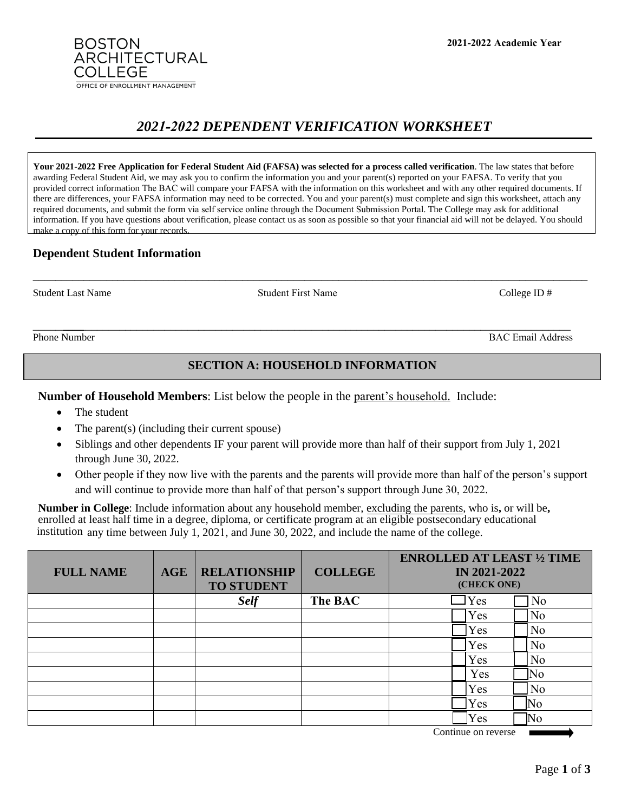**2021-2022 Academic Year**

# *2021-2022 DEPENDENT VERIFICATION WORKSHEET*

**Your 2021-2022 Free Application for Federal Student Aid (FAFSA) was selected for a process called verification**. The law states that before awarding Federal Student Aid, we may ask you to confirm the information you and your parent(s) reported on your FAFSA. To verify that you provided correct information The BAC will compare your FAFSA with the information on this worksheet and with any other required documents. If there are differences, your FAFSA information may need to be corrected. You and your parent(s) must complete and sign this worksheet, attach any required documents, and submit the form via self service online through the Document Submission Portal. The College may ask for additional information. If you have questions about verification, please contact us as soon as possible so that your financial aid will not be delayed. You should make a copy of this form for your records.

\_\_\_\_\_\_\_\_\_\_\_\_\_\_\_\_\_\_\_\_\_\_\_\_\_\_\_\_\_\_\_\_\_\_\_\_\_\_\_\_\_\_\_\_\_\_\_\_\_\_\_\_\_\_\_\_\_\_\_\_\_\_\_\_\_\_\_\_\_\_\_\_\_\_\_\_\_\_\_\_\_\_\_\_\_\_\_\_\_\_\_\_\_\_\_\_\_\_

# **Dependent Student Information**

**BOSTON** 

COLLEGE

**ARCHITECTURAL** 

OFFICE OF ENROLLMENT MANAGEMENT

Student Last Name College ID #

\_\_\_\_\_\_\_\_\_ \_\_\_\_\_\_\_\_\_\_\_\_\_\_\_\_\_\_\_\_\_\_\_\_\_\_\_\_\_\_\_\_\_\_\_\_\_\_\_\_\_\_\_\_\_\_\_\_\_\_\_\_\_\_\_\_\_\_\_\_\_\_\_\_\_\_\_\_\_\_\_\_\_\_\_\_\_\_\_\_\_\_\_\_\_\_\_\_\_\_ Phone Number BAC Email Address

# **SECTION A: HOUSEHOLD INFORMATION**

**Number of Household Members**: List below the people in the parent's household. Include:

- The student
- The parent(s) (including their current spouse)
- Siblings and other dependents IF your parent will provide more than half of their support from July 1, 2021 through June 30, 2022.
- Other people if they now live with the parents and the parents will provide more than half of the person's support and will continue to provide more than half of that person's support through June 30, 2022.

**Number in College**: Include information about any household member, excluding the parents, who is**,** or will be**,**  enrolled at least half time in a degree, diploma, or certificate program at an eligible postsecondary educational institution any time between July 1, 2021, and June 30, 2022, and include the name of the college.

| <b>FULL NAME</b> | <b>AGE</b> | <b>RELATIONSHIP</b><br><b>TO STUDENT</b> | <b>COLLEGE</b> | <b>ENROLLED AT LEAST 1/2 TIME</b><br><b>IN 2021-2022</b><br>(CHECK ONE) |                |
|------------------|------------|------------------------------------------|----------------|-------------------------------------------------------------------------|----------------|
|                  |            | <b>Self</b>                              | The BAC        | Yes                                                                     | N <sub>o</sub> |
|                  |            |                                          |                | Yes                                                                     | No             |
|                  |            |                                          |                | Yes                                                                     | N <sub>o</sub> |
|                  |            |                                          |                | Yes                                                                     | N <sub>o</sub> |
|                  |            |                                          |                | Yes                                                                     | N <sub>o</sub> |
|                  |            |                                          |                | Yes                                                                     | No             |
|                  |            |                                          |                | Yes                                                                     | No             |
|                  |            |                                          |                | Yes                                                                     | No             |
|                  |            |                                          |                | Yes                                                                     | No             |

Continue on reverse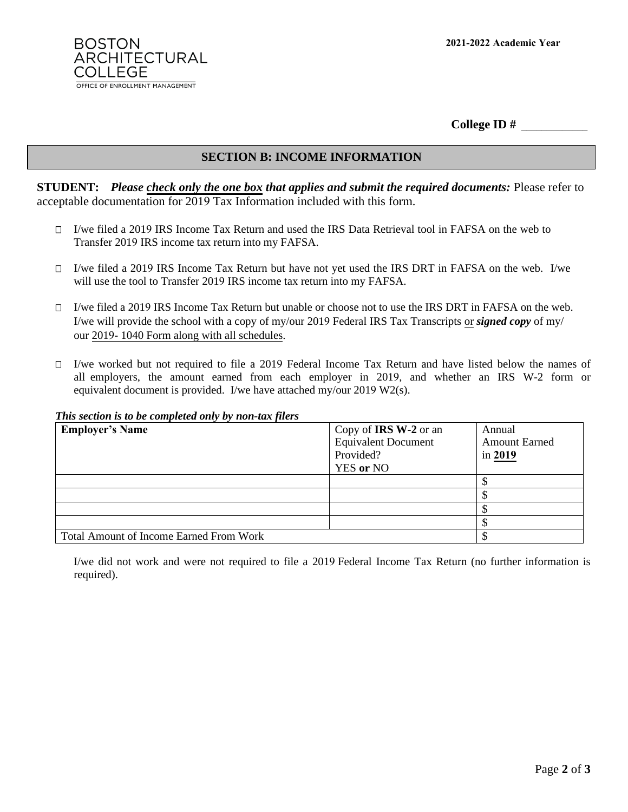

**College ID #** \_\_\_\_\_\_\_\_\_\_\_\_\_

## **SECTION B: INCOME INFORMATION**

**STUDENT:** *Please check only the one box that applies and submit the required documents:* Please refer to acceptable documentation for 2019 Tax Information included with this form.

- $\Box$  I/we filed a 2019 IRS Income Tax Return and used the IRS Data Retrieval tool in FAFSA on the web to Transfer 2019 IRS income tax return into my FAFSA.
- I/we filed a 2019 IRS Income Tax Return but have not yet used the IRS DRT in FAFSA on the web. I/we will use the tool to Transfer 2019 IRS income tax return into my FAFSA.
- $\Box$  I/we filed a 2019 IRS Income Tax Return but unable or choose not to use the IRS DRT in FAFSA on the web. I/we will provide the school with a copy of my/our 2019 Federal IRS Tax Transcripts or *signed copy* of my/ our 2019- 1040 Form along with all schedules.
- $\Box$  I/we worked but not required to file a 2019 Federal Income Tax Return and have listed below the names of all employers, the amount earned from each employer in 2019, and whether an IRS W-2 form or equivalent document is provided. I/we have attached my/our 2019 W2(s).

#### *This section is to be completed only by non-tax filers*

| <b>Employer's Name</b>                         | Copy of <b>IRS W-2</b> or an<br><b>Equivalent Document</b><br>Provided?<br><b>YES</b> or NO | Annual<br><b>Amount Earned</b><br>in 2019 |
|------------------------------------------------|---------------------------------------------------------------------------------------------|-------------------------------------------|
|                                                |                                                                                             |                                           |
|                                                |                                                                                             |                                           |
|                                                |                                                                                             |                                           |
|                                                |                                                                                             |                                           |
| <b>Total Amount of Income Earned From Work</b> |                                                                                             |                                           |

I/we did not work and were not required to file a 2019 Federal Income Tax Return (no further information is required).